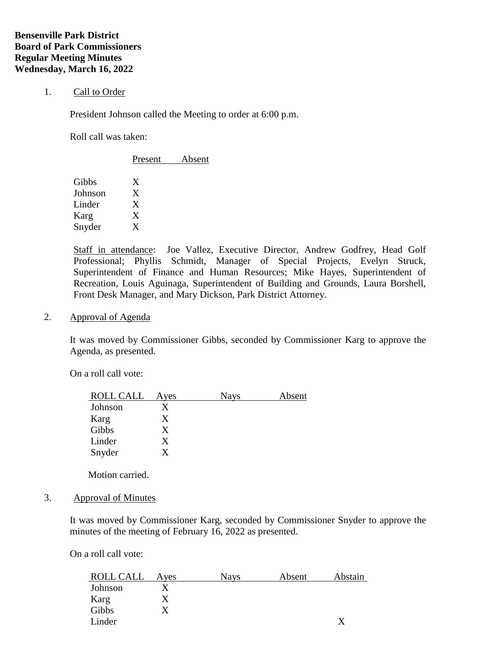## 1. Call to Order

President Johnson called the Meeting to order at 6:00 p.m.

Roll call was taken:

|         | Present | Absent |  |
|---------|---------|--------|--|
| Gibbs   | X       |        |  |
| Johnson | X       |        |  |
| Linder  | X       |        |  |
| Karg    | X       |        |  |
| Snyder  | X       |        |  |
|         |         |        |  |

Staff in attendance: Joe Vallez, Executive Director, Andrew Godfrey, Head Golf Professional; Phyllis Schmidt, Manager of Special Projects, Evelyn Struck, Superintendent of Finance and Human Resources; Mike Hayes, Superintendent of Recreation, Louis Aguinaga, Superintendent of Building and Grounds, Laura Borshell, Front Desk Manager, and Mary Dickson, Park District Attorney.

2. Approval of Agenda

It was moved by Commissioner Gibbs, seconded by Commissioner Karg to approve the Agenda, as presented.

On a roll call vote:

| <b>ROLL CALL</b> | Ayes | Nays | Absent |
|------------------|------|------|--------|
| Johnson          |      |      |        |
| Karg             | X    |      |        |
| Gibbs            | X    |      |        |
| Linder           | X    |      |        |
| Snyder           |      |      |        |

Motion carried.

3. Approval of Minutes

It was moved by Commissioner Karg, seconded by Commissioner Snyder to approve the minutes of the meeting of February 16, 2022 as presented.

On a roll call vote:

| ROLL CALL | Aves | <b>Nays</b> | Absent | Abstain |
|-----------|------|-------------|--------|---------|
| Johnson   |      |             |        |         |
| Karg      |      |             |        |         |
| Gibbs     |      |             |        |         |
| Linder    |      |             |        |         |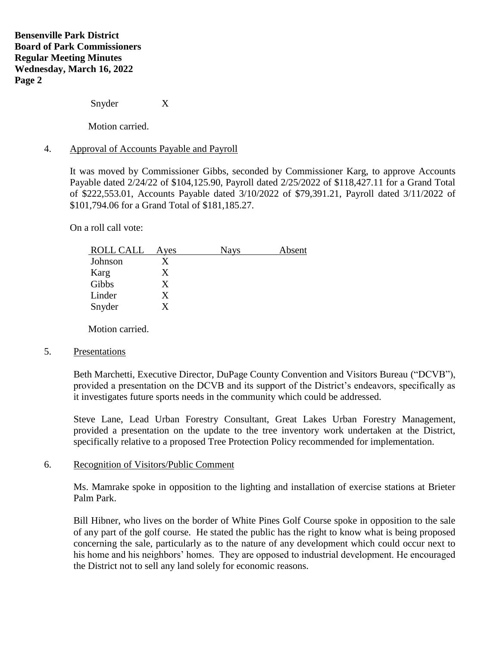Snyder X

Motion carried.

### 4. Approval of Accounts Payable and Payroll

It was moved by Commissioner Gibbs, seconded by Commissioner Karg, to approve Accounts Payable dated 2/24/22 of \$104,125.90, Payroll dated 2/25/2022 of \$118,427.11 for a Grand Total of \$222,553.01, Accounts Payable dated 3/10/2022 of \$79,391.21, Payroll dated 3/11/2022 of \$101,794.06 for a Grand Total of \$181,185.27.

On a roll call vote:

| <b>ROLL CALL</b> | Ayes | Nays | Absent |
|------------------|------|------|--------|
| Johnson          |      |      |        |
| Karg             | X    |      |        |
| Gibbs            | X    |      |        |
| Linder           | X    |      |        |
| Snyder           | Y    |      |        |

Motion carried.

#### 5. Presentations

Beth Marchetti, Executive Director, DuPage County Convention and Visitors Bureau ("DCVB"), provided a presentation on the DCVB and its support of the District's endeavors, specifically as it investigates future sports needs in the community which could be addressed.

Steve Lane, Lead Urban Forestry Consultant, Great Lakes Urban Forestry Management, provided a presentation on the update to the tree inventory work undertaken at the District, specifically relative to a proposed Tree Protection Policy recommended for implementation.

#### 6. Recognition of Visitors/Public Comment

Ms. Mamrake spoke in opposition to the lighting and installation of exercise stations at Brieter Palm Park.

Bill Hibner, who lives on the border of White Pines Golf Course spoke in opposition to the sale of any part of the golf course. He stated the public has the right to know what is being proposed concerning the sale, particularly as to the nature of any development which could occur next to his home and his neighbors' homes. They are opposed to industrial development. He encouraged the District not to sell any land solely for economic reasons.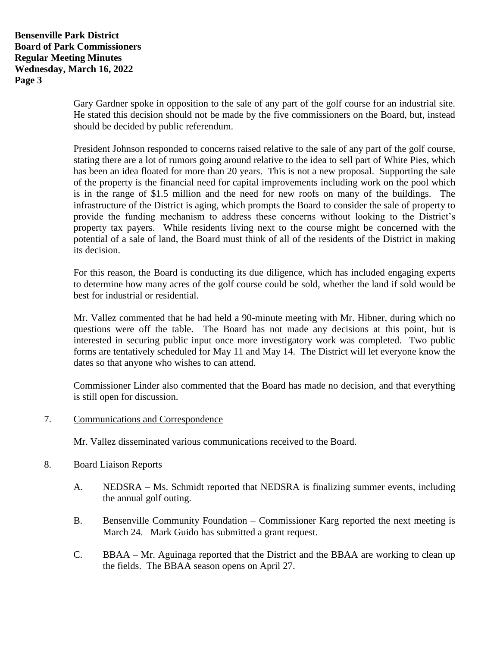**Bensenville Park District Board of Park Commissioners Regular Meeting Minutes Wednesday, March 16, 2022 Page 3**

> Gary Gardner spoke in opposition to the sale of any part of the golf course for an industrial site. He stated this decision should not be made by the five commissioners on the Board, but, instead should be decided by public referendum.

> President Johnson responded to concerns raised relative to the sale of any part of the golf course, stating there are a lot of rumors going around relative to the idea to sell part of White Pies, which has been an idea floated for more than 20 years. This is not a new proposal. Supporting the sale of the property is the financial need for capital improvements including work on the pool which is in the range of \$1.5 million and the need for new roofs on many of the buildings. The infrastructure of the District is aging, which prompts the Board to consider the sale of property to provide the funding mechanism to address these concerns without looking to the District's property tax payers. While residents living next to the course might be concerned with the potential of a sale of land, the Board must think of all of the residents of the District in making its decision.

> For this reason, the Board is conducting its due diligence, which has included engaging experts to determine how many acres of the golf course could be sold, whether the land if sold would be best for industrial or residential.

> Mr. Vallez commented that he had held a 90-minute meeting with Mr. Hibner, during which no questions were off the table. The Board has not made any decisions at this point, but is interested in securing public input once more investigatory work was completed. Two public forms are tentatively scheduled for May 11 and May 14. The District will let everyone know the dates so that anyone who wishes to can attend.

> Commissioner Linder also commented that the Board has made no decision, and that everything is still open for discussion.

7. Communications and Correspondence

Mr. Vallez disseminated various communications received to the Board.

- 8. Board Liaison Reports
	- A. NEDSRA Ms. Schmidt reported that NEDSRA is finalizing summer events, including the annual golf outing.
	- B. Bensenville Community Foundation Commissioner Karg reported the next meeting is March 24. Mark Guido has submitted a grant request.
	- C. BBAA Mr. Aguinaga reported that the District and the BBAA are working to clean up the fields. The BBAA season opens on April 27.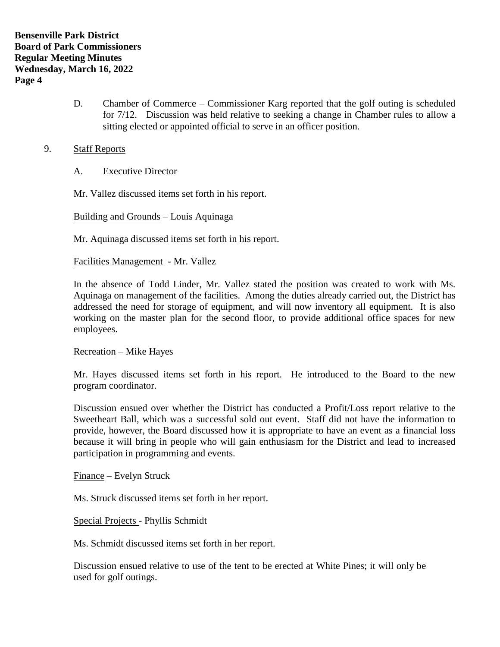D. Chamber of Commerce – Commissioner Karg reported that the golf outing is scheduled for 7/12. Discussion was held relative to seeking a change in Chamber rules to allow a sitting elected or appointed official to serve in an officer position.

# 9. Staff Reports

A. Executive Director

Mr. Vallez discussed items set forth in his report.

Building and Grounds – Louis Aquinaga

Mr. Aquinaga discussed items set forth in his report.

Facilities Management - Mr. Vallez

In the absence of Todd Linder, Mr. Vallez stated the position was created to work with Ms. Aquinaga on management of the facilities. Among the duties already carried out, the District has addressed the need for storage of equipment, and will now inventory all equipment. It is also working on the master plan for the second floor, to provide additional office spaces for new employees.

Recreation – Mike Hayes

Mr. Hayes discussed items set forth in his report. He introduced to the Board to the new program coordinator.

Discussion ensued over whether the District has conducted a Profit/Loss report relative to the Sweetheart Ball, which was a successful sold out event. Staff did not have the information to provide, however, the Board discussed how it is appropriate to have an event as a financial loss because it will bring in people who will gain enthusiasm for the District and lead to increased participation in programming and events.

Finance – Evelyn Struck

Ms. Struck discussed items set forth in her report.

Special Projects - Phyllis Schmidt

Ms. Schmidt discussed items set forth in her report.

Discussion ensued relative to use of the tent to be erected at White Pines; it will only be used for golf outings.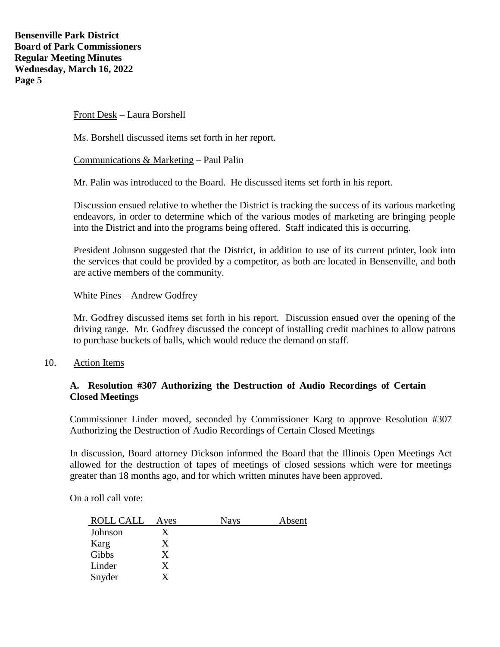Front Desk – Laura Borshell

Ms. Borshell discussed items set forth in her report.

Communications & Marketing – Paul Palin

Mr. Palin was introduced to the Board. He discussed items set forth in his report.

Discussion ensued relative to whether the District is tracking the success of its various marketing endeavors, in order to determine which of the various modes of marketing are bringing people into the District and into the programs being offered. Staff indicated this is occurring.

President Johnson suggested that the District, in addition to use of its current printer, look into the services that could be provided by a competitor, as both are located in Bensenville, and both are active members of the community.

White Pines – Andrew Godfrey

Mr. Godfrey discussed items set forth in his report. Discussion ensued over the opening of the driving range. Mr. Godfrey discussed the concept of installing credit machines to allow patrons to purchase buckets of balls, which would reduce the demand on staff.

10. Action Items

# **A. Resolution #307 Authorizing the Destruction of Audio Recordings of Certain Closed Meetings**

Commissioner Linder moved, seconded by Commissioner Karg to approve Resolution #307 Authorizing the Destruction of Audio Recordings of Certain Closed Meetings

In discussion, Board attorney Dickson informed the Board that the Illinois Open Meetings Act allowed for the destruction of tapes of meetings of closed sessions which were for meetings greater than 18 months ago, and for which written minutes have been approved.

On a roll call vote:

| ROLL CALL | Ayes | <b>Nays</b> | Absent |
|-----------|------|-------------|--------|
| Johnson   |      |             |        |
| Karg      | X    |             |        |
| Gibbs     | X    |             |        |
| Linder    | X    |             |        |
| Snyder    |      |             |        |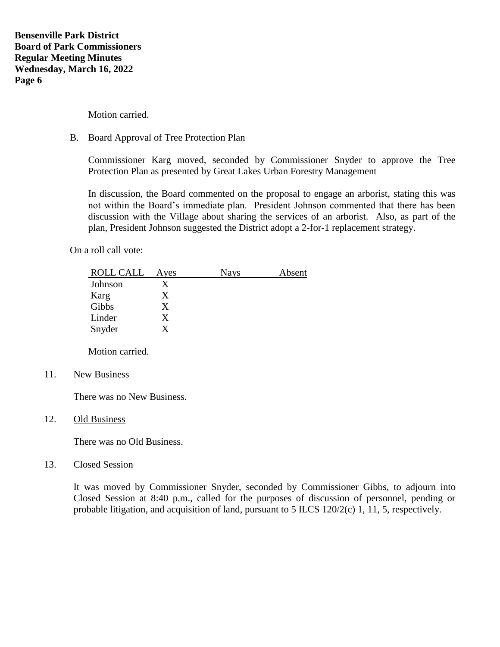Motion carried.

# B. Board Approval of Tree Protection Plan

Commissioner Karg moved, seconded by Commissioner Snyder to approve the Tree Protection Plan as presented by Great Lakes Urban Forestry Management

In discussion, the Board commented on the proposal to engage an arborist, stating this was not within the Board's immediate plan. President Johnson commented that there has been discussion with the Village about sharing the services of an arborist. Also, as part of the plan, President Johnson suggested the District adopt a 2-for-1 replacement strategy.

On a roll call vote:

| ROLL CALL | Ayes | <b>Nays</b> | Absent |
|-----------|------|-------------|--------|
| Johnson   |      |             |        |
| Karg      | X    |             |        |
| Gibbs     | X    |             |        |
| Linder    | X    |             |        |
| Snyder    |      |             |        |

Motion carried.

11. New Business

There was no New Business.

12. Old Business

There was no Old Business.

13. Closed Session

It was moved by Commissioner Snyder, seconded by Commissioner Gibbs, to adjourn into Closed Session at 8:40 p.m., called for the purposes of discussion of personnel, pending or probable litigation, and acquisition of land, pursuant to 5 ILCS 120/2(c) 1, 11, 5, respectively.